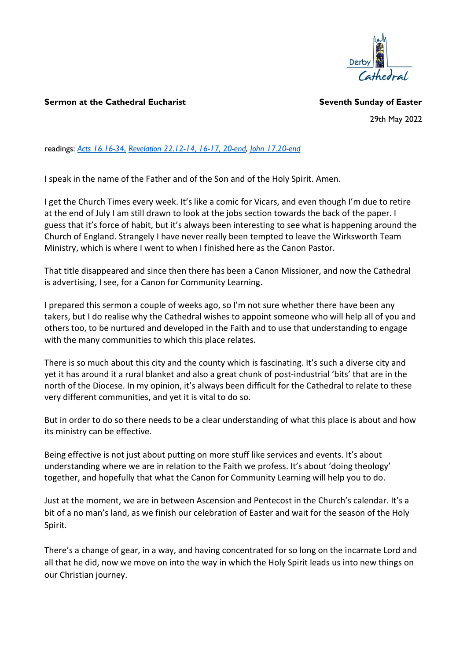

## Sermon at the Cathedral Eucharist Seventh Sunday of Easter

29th May 2022

readings: Acts 16.16-34, Revelation 22.12-14, 16-17, 20-end, John 17.20-end

I speak in the name of the Father and of the Son and of the Holy Spirit. Amen.

I get the Church Times every week. It's like a comic for Vicars, and even though I'm due to retire at the end of July I am still drawn to look at the jobs section towards the back of the paper. I guess that it's force of habit, but it's always been interesting to see what is happening around the Church of England. Strangely I have never really been tempted to leave the Wirksworth Team Ministry, which is where I went to when I finished here as the Canon Pastor.

That title disappeared and since then there has been a Canon Missioner, and now the Cathedral is advertising, I see, for a Canon for Community Learning.

I prepared this sermon a couple of weeks ago, so I'm not sure whether there have been any takers, but I do realise why the Cathedral wishes to appoint someone who will help all of you and others too, to be nurtured and developed in the Faith and to use that understanding to engage with the many communities to which this place relates.

There is so much about this city and the county which is fascinating. It's such a diverse city and yet it has around it a rural blanket and also a great chunk of post-industrial 'bits' that are in the north of the Diocese. In my opinion, it's always been difficult for the Cathedral to relate to these very different communities, and yet it is vital to do so.

But in order to do so there needs to be a clear understanding of what this place is about and how its ministry can be effective.

Being effective is not just about putting on more stuff like services and events. It's about understanding where we are in relation to the Faith we profess. It's about 'doing theology' together, and hopefully that what the Canon for Community Learning will help you to do.

Just at the moment, we are in between Ascension and Pentecost in the Church's calendar. It's a bit of a no man's land, as we finish our celebration of Easter and wait for the season of the Holy Spirit.

There's a change of gear, in a way, and having concentrated for so long on the incarnate Lord and all that he did, now we move on into the way in which the Holy Spirit leads us into new things on our Christian journey.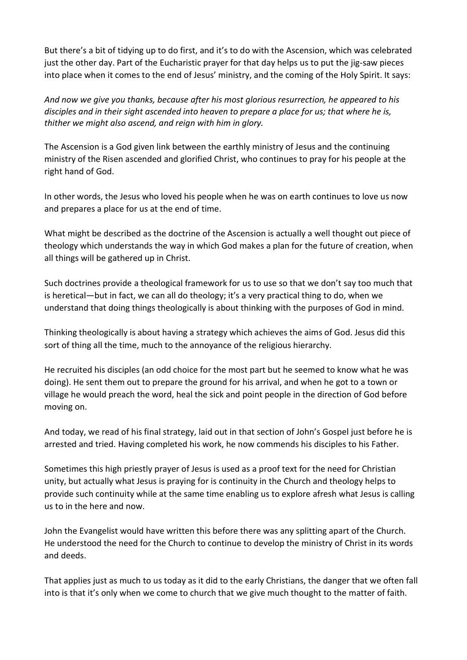But there's a bit of tidying up to do first, and it's to do with the Ascension, which was celebrated just the other day. Part of the Eucharistic prayer for that day helps us to put the jig-saw pieces into place when it comes to the end of Jesus' ministry, and the coming of the Holy Spirit. It says:

And now we give you thanks, because after his most glorious resurrection, he appeared to his disciples and in their sight ascended into heaven to prepare a place for us; that where he is, thither we might also ascend, and reign with him in glory.

The Ascension is a God given link between the earthly ministry of Jesus and the continuing ministry of the Risen ascended and glorified Christ, who continues to pray for his people at the right hand of God.

In other words, the Jesus who loved his people when he was on earth continues to love us now and prepares a place for us at the end of time.

What might be described as the doctrine of the Ascension is actually a well thought out piece of theology which understands the way in which God makes a plan for the future of creation, when all things will be gathered up in Christ.

Such doctrines provide a theological framework for us to use so that we don't say too much that is heretical—but in fact, we can all do theology; it's a very practical thing to do, when we understand that doing things theologically is about thinking with the purposes of God in mind.

Thinking theologically is about having a strategy which achieves the aims of God. Jesus did this sort of thing all the time, much to the annoyance of the religious hierarchy.

He recruited his disciples (an odd choice for the most part but he seemed to know what he was doing). He sent them out to prepare the ground for his arrival, and when he got to a town or village he would preach the word, heal the sick and point people in the direction of God before moving on.

And today, we read of his final strategy, laid out in that section of John's Gospel just before he is arrested and tried. Having completed his work, he now commends his disciples to his Father.

Sometimes this high priestly prayer of Jesus is used as a proof text for the need for Christian unity, but actually what Jesus is praying for is continuity in the Church and theology helps to provide such continuity while at the same time enabling us to explore afresh what Jesus is calling us to in the here and now.

John the Evangelist would have written this before there was any splitting apart of the Church. He understood the need for the Church to continue to develop the ministry of Christ in its words and deeds.

That applies just as much to us today as it did to the early Christians, the danger that we often fall into is that it's only when we come to church that we give much thought to the matter of faith.